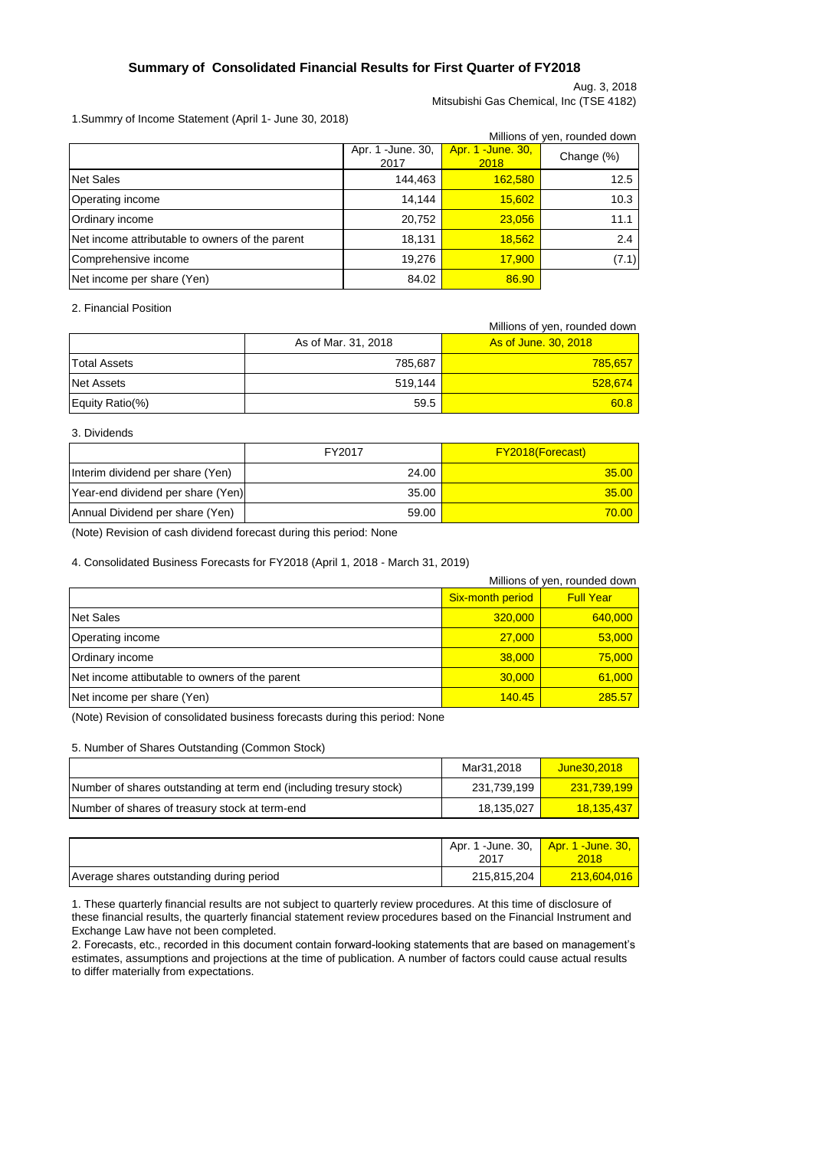Aug. 3, 2018 Mitsubishi Gas Chemical, Inc (TSE 4182)

### 1.Summry of Income Statement (April 1- June 30, 2018)

|                                                 |                            |                                   | Millions of yen, rounded down |
|-------------------------------------------------|----------------------------|-----------------------------------|-------------------------------|
|                                                 | Apr. 1 - June. 30,<br>2017 | <b>Apr. 1 - June. 30,</b><br>2018 | Change (%)                    |
| <b>Net Sales</b>                                | 144,463                    | 162,580                           | 12.5                          |
| <b>Operating income</b>                         | 14.144                     | 15,602                            | 10.3                          |
| Ordinary income                                 | 20,752                     | 23,056                            | 11.1                          |
| Net income attributable to owners of the parent | 18,131                     | 18,562                            | 2.4                           |
| Comprehensive income                            | 19,276                     | 17,900                            | (7.1)                         |
| Net income per share (Yen)                      | 84.02                      | 86.90                             |                               |

### 2. Financial Position

|                     |                     | Millions of yen, rounded down |
|---------------------|---------------------|-------------------------------|
|                     | As of Mar. 31, 2018 | As of June, 30, 2018          |
| <b>Total Assets</b> | 785,687             | 785,657                       |
| <b>Net Assets</b>   | 519.144             | 528,674                       |
| Equity Ratio(%)     | 59.5                | 60.8                          |

#### 3. Dividends

|                                   | FY2017 | <b>FY2018(Forecast)</b> |
|-----------------------------------|--------|-------------------------|
| Interim dividend per share (Yen)  | 24.00  | 35.00                   |
| Year-end dividend per share (Yen) | 35.00  | 35.00                   |
| Annual Dividend per share (Yen)   | 59.00  | 70.00                   |

(Note) Revision of cash dividend forecast during this period: None

#### 4. Consolidated Business Forecasts for FY2018 (April 1, 2018 - March 31, 2019)

| Millions of yen, rounded down                  |                  |                  |  |
|------------------------------------------------|------------------|------------------|--|
|                                                | Six-month period | <b>Full Year</b> |  |
| Net Sales                                      | 320,000          | 640,000          |  |
| Operating income                               | 27,000           | 53,000           |  |
| Ordinary income                                | 38,000           | 75,000           |  |
| Net income attibutable to owners of the parent | 30,000           | 61,000           |  |
| Net income per share (Yen)                     | 140.45           | 285.57           |  |

(Note) Revision of consolidated business forecasts during this period: None

#### 5. Number of Shares Outstanding (Common Stock)

|                                                                    | Mar31.2018  | June 30.2018 |
|--------------------------------------------------------------------|-------------|--------------|
| Number of shares outstanding at term end (including tresury stock) | 231.739.199 | 231.739.199  |
| Number of shares of treasury stock at term-end                     | 18.135.027  | 18.135.437   |

|                                          | Apr. 1 -June. 30,<br>2017 | <u>l Apr. 1 -June. 30, l</u><br>2018 |
|------------------------------------------|---------------------------|--------------------------------------|
| Average shares outstanding during period | 215.815.204               | 213,604,016                          |

1. These quarterly financial results are not subject to quarterly review procedures. At this time of disclosure of these financial results, the quarterly financial statement review procedures based on the Financial Instrument and Exchange Law have not been completed.

2. Forecasts, etc., recorded in this document contain forward-looking statements that are based on management's estimates, assumptions and projections at the time of publication. A number of factors could cause actual results to differ materially from expectations.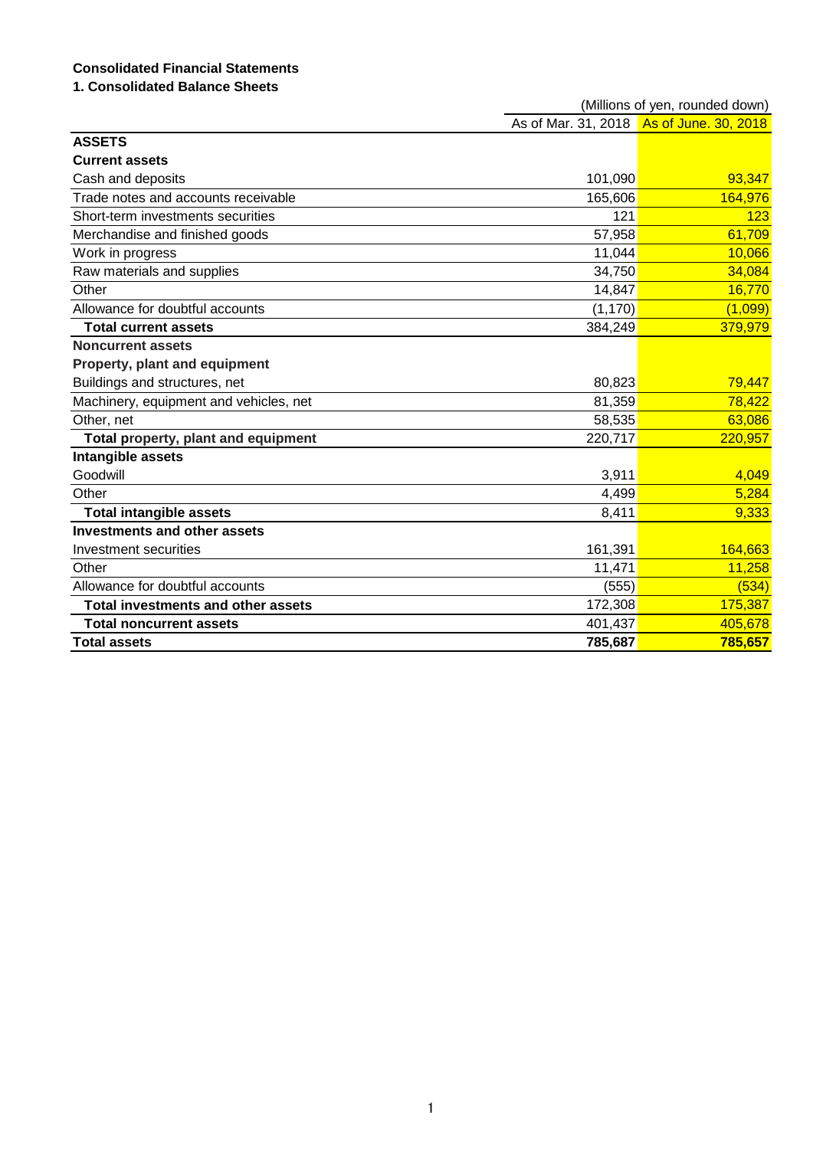# **Consolidated Financial Statements**

# **1. Consolidated Balance Sheets**

|                                           | (Millions of yen, rounded down) |                                          |  |
|-------------------------------------------|---------------------------------|------------------------------------------|--|
|                                           |                                 | As of Mar. 31, 2018 As of June. 30, 2018 |  |
| <b>ASSETS</b>                             |                                 |                                          |  |
| <b>Current assets</b>                     |                                 |                                          |  |
| Cash and deposits                         | 101,090                         | 93,347                                   |  |
| Trade notes and accounts receivable       | 165,606                         | 164,976                                  |  |
| Short-term investments securities         | 121                             | 123                                      |  |
| Merchandise and finished goods            | 57,958                          | 61,709                                   |  |
| Work in progress                          | 11,044                          | 10,066                                   |  |
| Raw materials and supplies                | 34,750                          | 34,084                                   |  |
| Other                                     | 14,847                          | 16,770                                   |  |
| Allowance for doubtful accounts           | (1, 170)                        | (1,099)                                  |  |
| <b>Total current assets</b>               | 384,249                         | 379,979                                  |  |
| <b>Noncurrent assets</b>                  |                                 |                                          |  |
| Property, plant and equipment             |                                 |                                          |  |
| Buildings and structures, net             | 80,823                          | 79,447                                   |  |
| Machinery, equipment and vehicles, net    | 81,359                          | 78,422                                   |  |
| Other, net                                | 58,535                          | 63,086                                   |  |
| Total property, plant and equipment       | 220,717                         | 220,957                                  |  |
| Intangible assets                         |                                 |                                          |  |
| Goodwill                                  | 3,911                           | 4,049                                    |  |
| Other                                     | 4,499                           | 5,284                                    |  |
| <b>Total intangible assets</b>            | 8,411                           | 9,333                                    |  |
| <b>Investments and other assets</b>       |                                 |                                          |  |
| Investment securities                     | 161,391                         | 164,663                                  |  |
| Other                                     | 11,471                          | 11,258                                   |  |
| Allowance for doubtful accounts           | (555)                           | (534)                                    |  |
| <b>Total investments and other assets</b> | 172,308                         | 175,387                                  |  |
| <b>Total noncurrent assets</b>            | 401,437                         | 405,678                                  |  |
| <b>Total assets</b>                       | 785,687                         | 785,657                                  |  |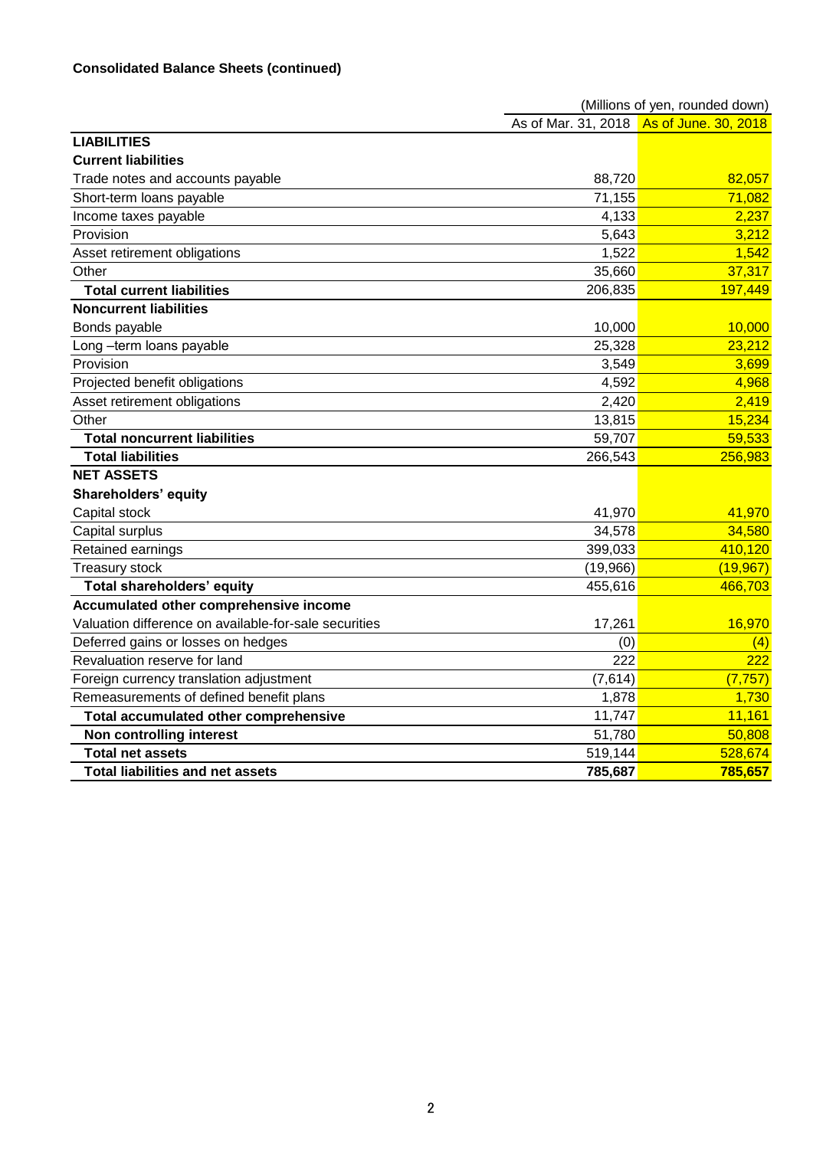|                                                       | (Millions of yen, rounded down) |                                          |  |
|-------------------------------------------------------|---------------------------------|------------------------------------------|--|
|                                                       |                                 | As of Mar. 31, 2018 As of June. 30, 2018 |  |
| <b>LIABILITIES</b>                                    |                                 |                                          |  |
| <b>Current liabilities</b>                            |                                 |                                          |  |
| Trade notes and accounts payable                      | 88,720                          | 82,057                                   |  |
| Short-term loans payable                              | 71,155                          | 71,082                                   |  |
| Income taxes payable                                  | 4,133                           | 2,237                                    |  |
| Provision                                             | 5,643                           | 3,212                                    |  |
| Asset retirement obligations                          | 1,522                           | 1,542                                    |  |
| Other                                                 | 35,660                          | 37,317                                   |  |
| <b>Total current liabilities</b>                      | 206,835                         | 197,449                                  |  |
| <b>Noncurrent liabilities</b>                         |                                 |                                          |  |
| Bonds payable                                         | 10,000                          | 10,000                                   |  |
| Long -term loans payable                              | 25,328                          | 23,212                                   |  |
| Provision                                             | 3,549                           | 3,699                                    |  |
| Projected benefit obligations                         | 4,592                           | 4,968                                    |  |
| Asset retirement obligations                          | 2,420                           | 2,419                                    |  |
| Other                                                 | 13,815                          | 15,234                                   |  |
| <b>Total noncurrent liabilities</b>                   | 59,707                          | 59,533                                   |  |
| <b>Total liabilities</b>                              | 266,543                         | 256,983                                  |  |
| <b>NET ASSETS</b>                                     |                                 |                                          |  |
| <b>Shareholders' equity</b>                           |                                 |                                          |  |
| Capital stock                                         | 41,970                          | 41,970                                   |  |
| Capital surplus                                       | 34,578                          | 34,580                                   |  |
| Retained earnings                                     | 399,033                         | 410,120                                  |  |
| Treasury stock                                        | (19,966)                        | (19, 967)                                |  |
| <b>Total shareholders' equity</b>                     | 455,616                         | 466,703                                  |  |
| Accumulated other comprehensive income                |                                 |                                          |  |
| Valuation difference on available-for-sale securities | 17,261                          | 16,970                                   |  |
| Deferred gains or losses on hedges                    | (0)                             | (4)                                      |  |
| Revaluation reserve for land                          | 222                             | 222                                      |  |
| Foreign currency translation adjustment               | (7,614)                         | (7, 757)                                 |  |
| Remeasurements of defined benefit plans               | 1,878                           | 1,730                                    |  |
| Total accumulated other comprehensive                 | 11,747                          | 11,161                                   |  |
| Non controlling interest                              | 51,780                          | 50,808                                   |  |
| <b>Total net assets</b>                               | 519,144                         | 528,674                                  |  |
| <b>Total liabilities and net assets</b>               | 785,687                         | 785,657                                  |  |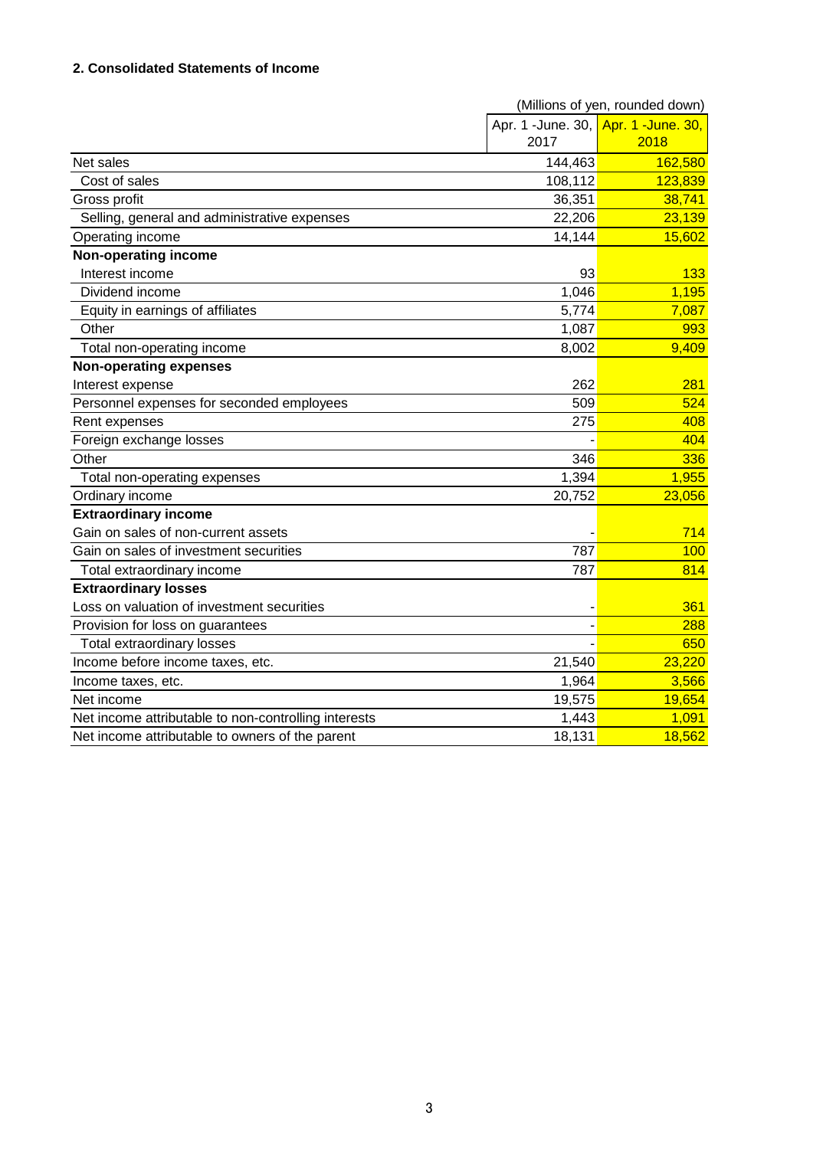# **2. Consolidated Statements of Income**

|                                                      | (Millions of yen, rounded down)     |         |  |
|------------------------------------------------------|-------------------------------------|---------|--|
|                                                      | Apr. 1 -June. 30, Apr. 1 -June. 30, |         |  |
|                                                      | 2017                                | 2018    |  |
| Net sales                                            | 144,463                             | 162,580 |  |
| Cost of sales                                        | 108,112                             | 123,839 |  |
| Gross profit                                         | 36,351                              | 38,741  |  |
| Selling, general and administrative expenses         | 22,206                              | 23,139  |  |
| Operating income                                     | 14,144                              | 15,602  |  |
| Non-operating income                                 |                                     |         |  |
| Interest income                                      | 93                                  | 133     |  |
| Dividend income                                      | 1,046                               | 1,195   |  |
| Equity in earnings of affiliates                     | 5,774                               | 7,087   |  |
| Other                                                | 1,087                               | 993     |  |
| Total non-operating income                           | 8,002                               | 9,409   |  |
| <b>Non-operating expenses</b>                        |                                     |         |  |
| Interest expense                                     | 262                                 | 281     |  |
| Personnel expenses for seconded employees            | 509                                 | 524     |  |
| Rent expenses                                        | 275                                 | 408     |  |
| Foreign exchange losses                              |                                     | 404     |  |
| Other                                                | 346                                 | 336     |  |
| Total non-operating expenses                         | 1,394                               | 1,955   |  |
| Ordinary income                                      | 20,752                              | 23,056  |  |
| <b>Extraordinary income</b>                          |                                     |         |  |
| Gain on sales of non-current assets                  |                                     | 714     |  |
| Gain on sales of investment securities               | 787                                 | 100     |  |
| Total extraordinary income                           | 787                                 | 814     |  |
| <b>Extraordinary losses</b>                          |                                     |         |  |
| Loss on valuation of investment securities           |                                     | 361     |  |
| Provision for loss on guarantees                     |                                     | 288     |  |
| <b>Total extraordinary losses</b>                    |                                     | 650     |  |
| Income before income taxes, etc.                     | 21,540                              | 23,220  |  |
| Income taxes, etc.                                   | 1,964                               | 3,566   |  |
| Net income                                           | 19,575                              | 19,654  |  |
| Net income attributable to non-controlling interests | 1,443                               | 1,091   |  |
| Net income attributable to owners of the parent      | 18,131                              | 18,562  |  |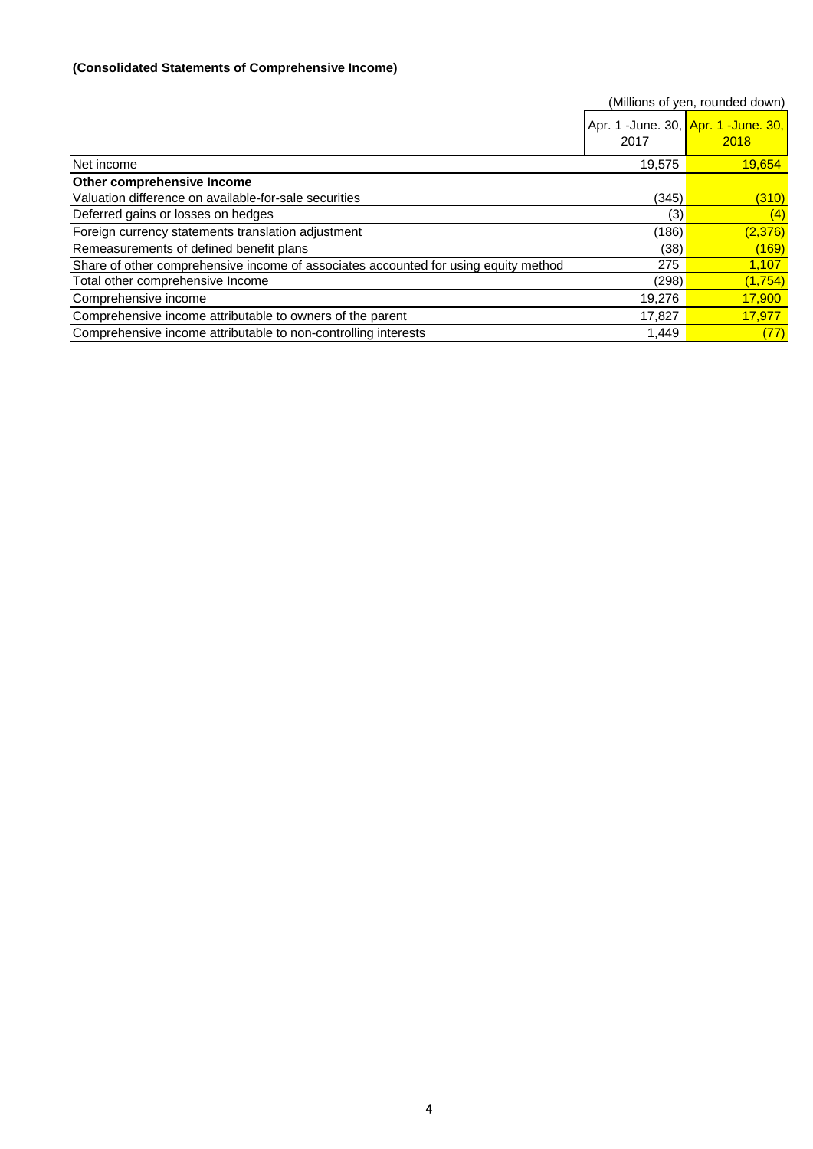### **(Consolidated Statements of Comprehensive Income)**

|                                                                                     |        | (Millions of yen, rounded down)             |
|-------------------------------------------------------------------------------------|--------|---------------------------------------------|
|                                                                                     | 2017   | Apr. 1 -June. 30, Apr. 1 -June. 30,<br>2018 |
| Net income                                                                          | 19,575 | 19,654                                      |
| Other comprehensive Income                                                          |        |                                             |
| Valuation difference on available-for-sale securities                               | (345)  | (310)                                       |
| Deferred gains or losses on hedges                                                  | (3)    | (4)                                         |
| Foreign currency statements translation adjustment                                  | (186)  | (2,376)                                     |
| Remeasurements of defined benefit plans                                             | (38)   | (169)                                       |
| Share of other comprehensive income of associates accounted for using equity method | 275    | <u>1,107</u>                                |
| Total other comprehensive Income                                                    | (298)  | (1, 754)                                    |
| Comprehensive income                                                                | 19,276 | 17,900                                      |
| Comprehensive income attributable to owners of the parent                           | 17,827 | 17,977                                      |
| Comprehensive income attributable to non-controlling interests                      | 1.449  | (77)                                        |

4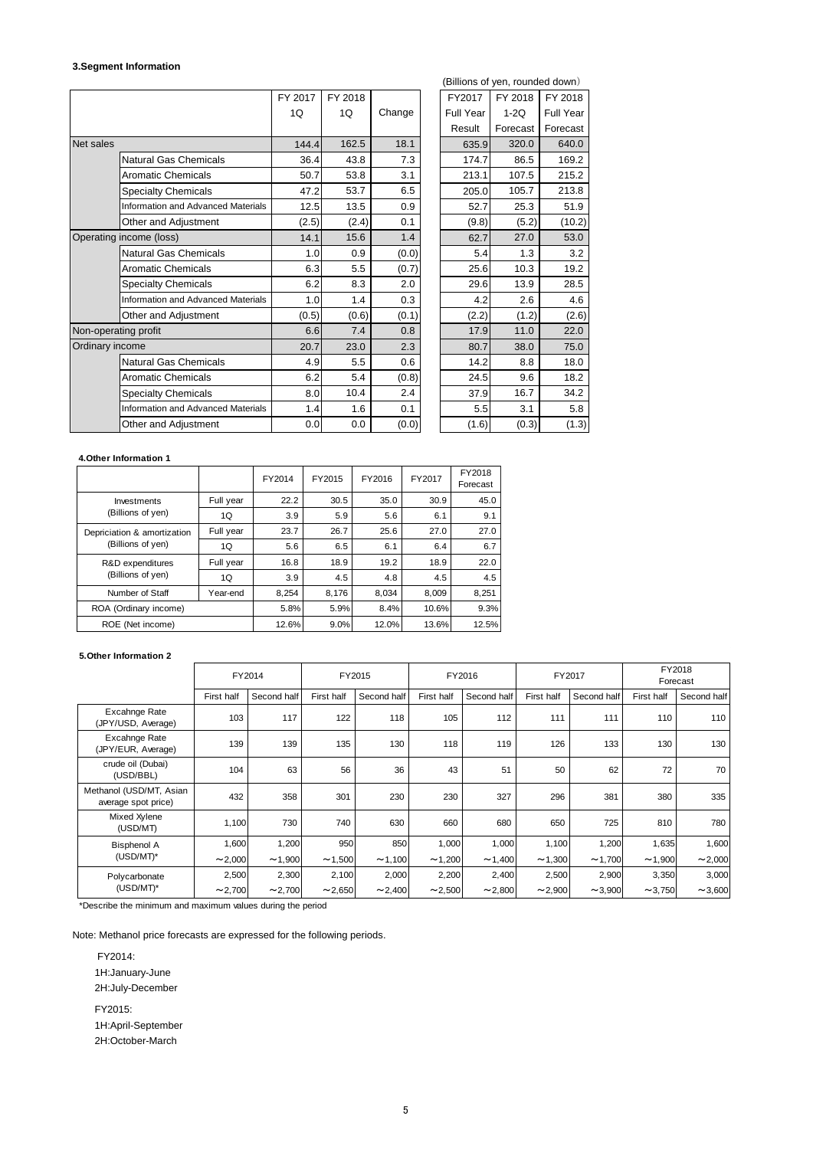#### **3.Segment Information**

|                  |                                    | FY 2017 | FY 2018 |        | FY2017    | FY 2018  | FY 2018          |
|------------------|------------------------------------|---------|---------|--------|-----------|----------|------------------|
|                  |                                    | 1Q      | 1Q      | Change | Full Year | $1-2Q$   | <b>Full Year</b> |
|                  |                                    |         |         |        | Result    | Forecast | Forecast         |
| <b>Net sales</b> |                                    | 144.4   | 162.5   | 18.1   | 635.9     | 320.0    | 640.0            |
|                  | <b>Natural Gas Chemicals</b>       | 36.4    | 43.8    | 7.3    | 174.7     | 86.5     | 169.2            |
|                  | <b>Aromatic Chemicals</b>          | 50.7    | 53.8    | 3.1    | 213.1     | 107.5    | 215.2            |
|                  | <b>Specialty Chemicals</b>         | 47.2    | 53.7    | 6.5    | 205.0     | 105.7    | 213.8            |
|                  | Information and Advanced Materials | 12.5    | 13.5    | 0.9    | 52.7      | 25.3     | 51.9             |
|                  | Other and Adjustment               | (2.5)   | (2.4)   | 0.1    | (9.8)     | (5.2)    | (10.2)           |
|                  | Operating income (loss)            | 14.1    | 15.6    | 1.4    | 62.7      | 27.0     | 53.0             |
|                  | <b>Natural Gas Chemicals</b>       | 1.0     | 0.9     | (0.0)  | 5.4       | 1.3      | 3.2              |
|                  | <b>Aromatic Chemicals</b>          | 6.3     | 5.5     | (0.7)  | 25.6      | 10.3     | 19.2             |
|                  | <b>Specialty Chemicals</b>         | 6.2     | 8.3     | 2.0    | 29.6      | 13.9     | 28.5             |
|                  | Information and Advanced Materials | 1.0     | 1.4     | 0.3    | 4.2       | 2.6      | 4.6              |
|                  | Other and Adjustment               | (0.5)   | (0.6)   | (0.1)  | (2.2)     | (1.2)    | (2.6)            |
|                  | Non-operating profit               | 6.6     | 7.4     | 0.8    | 17.9      | 11.0     | 22.0             |
| Ordinary income  |                                    | 20.7    | 23.0    | 2.3    | 80.7      | 38.0     | 75.0             |
|                  | <b>Natural Gas Chemicals</b>       | 4.9     | 5.5     | 0.6    | 14.2      | 8.8      | 18.0             |
|                  | <b>Aromatic Chemicals</b>          | 6.2     | 5.4     | (0.8)  | 24.5      | 9.6      | 18.2             |
|                  | <b>Specialty Chemicals</b>         | 8.0     | 10.4    | 2.4    | 37.9      | 16.7     | 34.2             |
|                  | Information and Advanced Materials | 1.4     | 1.6     | 0.1    | 5.5       | 3.1      | 5.8              |
|                  | Other and Adjustment               | 0.0     | 0.0     | (0.0)  | (1.6)     | (0.3)    | (1.3)            |
|                  |                                    |         |         |        |           |          |                  |

|       |         |        |  |                  | (Billions of yen, rounded down) |                  |
|-------|---------|--------|--|------------------|---------------------------------|------------------|
| 2017  | FY 2018 |        |  | FY2017           | FY 2018                         | FY 2018          |
| 1Q    | 1Q      | Change |  | <b>Full Year</b> | $1-2Q$                          | <b>Full Year</b> |
|       |         |        |  | Result           | Forecast                        | Forecast         |
| 144.4 | 162.5   | 18.1   |  | 635.9            | 320.0                           | 640.0            |
| 36.4  | 43.8    | 7.3    |  | 174.7            | 86.5                            | 169.2            |
| 50.7  | 53.8    | 3.1    |  | 213.1            | 107.5                           | 215.2            |
| 47.2  | 53.7    | 6.5    |  | 205.0            | 105.7                           | 213.8            |
| 12.5  | 13.5    | 0.9    |  | 52.7             | 25.3                            | 51.9             |
| (2.5) | (2.4)   | 0.1    |  | (9.8)            | (5.2)                           | (10.2)           |
| 14.1  | 15.6    | 1.4    |  | 62.7             | 27.0                            | 53.0             |
| 1.0   | 0.9     | (0.0)  |  | 5.4              | 1.3                             | 3.2              |
| 6.3   | 5.5     | (0.7)  |  | 25.6             | 10.3                            | 19.2             |
| 6.2   | 8.3     | 2.0    |  | 29.6             | 13.9                            | 28.5             |
| 1.0   | 1.4     | 0.3    |  | 4.2              | 2.6                             | 4.6              |
| (0.5) | (0.6)   | (0.1)  |  | (2.2)            | (1.2)                           | (2.6)            |
| 6.6   | 7.4     | 0.8    |  | 17.9             | 11.0                            | 22.0             |
| 20.7  | 23.0    | 2.3    |  | 80.7             | 38.0                            | 75.0             |
| 4.9   | 5.5     | 0.6    |  | 14.2             | 8.8                             | 18.0             |
| 6.2   | 5.4     | (0.8)  |  | 24.5             | 9.6                             | 18.2             |
| 8.0   | 10.4    | 2.4    |  | 37.9             | 16.7                            | 34.2             |
| 1.4   | 1.6     | 0.1    |  | 5.5              | 3.1                             | 5.8              |
| 0.0   | 0.0     | (0.0)  |  | (1.6)            | (0.3)                           | (1.3)            |

#### **4.Other Information 1**

|                                                  |           | FY2014 | FY2015 | FY2016 | FY2017 | FY2018<br>Forecast |
|--------------------------------------------------|-----------|--------|--------|--------|--------|--------------------|
| Investments                                      | Full year | 22.2   | 30.5   | 35.0   | 30.9   | 45.0               |
| (Billions of yen)                                | 1Q        | 3.9    | 5.9    | 5.6    | 6.1    | 9.1                |
| Depriciation & amortization<br>(Billions of yen) | Full year | 23.7   | 26.7   | 25.6   | 27.0   | 27.0               |
|                                                  | 1Q        | 5.6    | 6.5    | 6.1    | 6.4    | 6.7                |
| R&D expenditures<br>(Billions of yen)            | Full year | 16.8   | 18.9   | 19.2   | 18.9   | 22.0               |
|                                                  | 1Q        | 3.9    | 4.5    | 4.8    | 4.5    | 4.5                |
| Number of Staff                                  | Year-end  | 8.254  | 8,176  | 8.034  | 8,009  | 8,251              |
| ROA (Ordinary income)                            |           | 5.8%   | 5.9%   | 8.4%   | 10.6%  | 9.3%               |
| ROE (Net income)                                 |           | 12.6%  | 9.0%   | 12.0%  | 13.6%  | 12.5%              |

#### **5.Other Information 2**

|                                                |            | FY2014      |            | FY2015       |            | FY2016      |            | FY2017       |            | FY2018<br>Forecast |
|------------------------------------------------|------------|-------------|------------|--------------|------------|-------------|------------|--------------|------------|--------------------|
|                                                | First half | Second half | First half | Second half  | First half | Second half | First half | Second half  | First half | Second half        |
| Excahnge Rate<br>(JPY/USD, Average)            | 103        | 117         | 122        | 118          | 105        | 112         | 111        | 111          | 110        | 110                |
| Excahnge Rate<br>(JPY/EUR, Average)            | 139        | 139         | 135        | 130          | 118        | 119         | 126        | 133          | 130        | 130                |
| crude oil (Dubai)<br>(USD/BBL)                 | 104        | 63          | 56         | 36           | 43         | 51          | 50         | 62           | 72         | 70                 |
| Methanol (USD/MT, Asian<br>average spot price) | 432        | 358         | 301        | 230          | 230        | 327         | 296        | 381          | 380        | 335                |
| Mixed Xylene<br>(USD/MT)                       | 1,100      | 730         | 740        | 630          | 660        | 680         | 650        | 725          | 810        | 780                |
| <b>Bisphenol A</b>                             | 1,600      | 1,200       | 950        | 850          | 1,000      | 1,000       | 1,100      | 1,200        | 1,635      | 1,600              |
| (USD/MT)*                                      | ~2,000     | ~1,900      | ~1,500     | ~1,100       | ~1,200     | ~1,400      | ~1,300     | ~1,700       | ~1,900     | ~2,000             |
| Polycarbonate                                  | 2,500      | 2,300       | 2,100      | 2,000        | 2,200      | 2,400       | 2,500      | 2,900        | 3,350      | 3,000              |
| (USD/MT)*                                      | ~2,700     | ~2,700      | ~2,650     | $\sim$ 2,400 | ~2,500     | ~2,800      | ~2,900     | $\sim$ 3,900 | ~1.750     | ~1.600             |

\*Describe the minimum and maximum values during the period

Note: Methanol price forecasts are expressed for the following periods.

 FY2014: 1H:January-June 2H:July-December FY2015: 1H:April-September

2H:October-March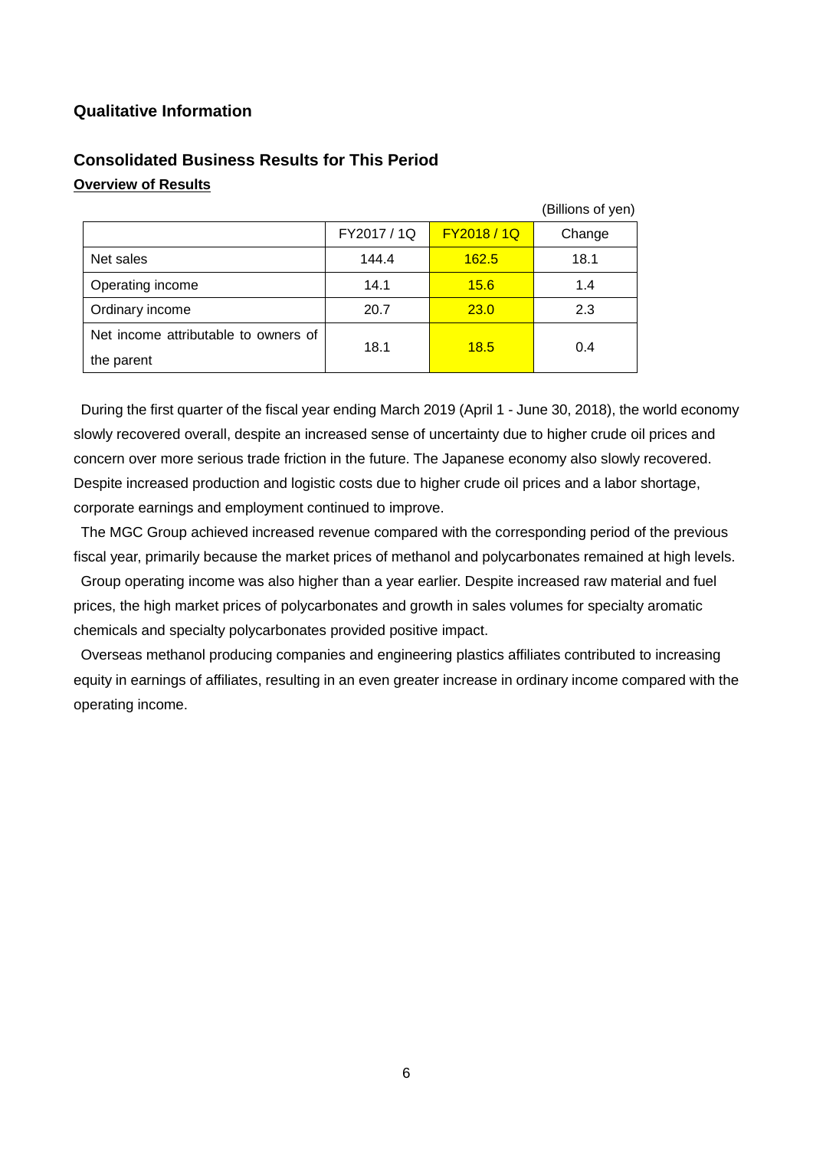# **Qualitative Information**

|                                      |             |             | (Billions of yen) |
|--------------------------------------|-------------|-------------|-------------------|
|                                      | FY2017 / 1Q | FY2018 / 1Q | Change            |
| Net sales                            | 144.4       | 162.5       | 18.1              |
| Operating income                     | 14.1        | 15.6        | 1.4               |
| Ordinary income                      | 20.7        | <b>23.0</b> | 2.3               |
| Net income attributable to owners of | 18.1        | 18.5        |                   |
| the parent                           |             |             | 0.4               |

# **Consolidated Business Results for This Period Overview of Results**

During the first quarter of the fiscal year ending March 2019 (April 1 - June 30, 2018), the world economy slowly recovered overall, despite an increased sense of uncertainty due to higher crude oil prices and concern over more serious trade friction in the future. The Japanese economy also slowly recovered. Despite increased production and logistic costs due to higher crude oil prices and a labor shortage, corporate earnings and employment continued to improve.

The MGC Group achieved increased revenue compared with the corresponding period of the previous fiscal year, primarily because the market prices of methanol and polycarbonates remained at high levels.

Group operating income was also higher than a year earlier. Despite increased raw material and fuel prices, the high market prices of polycarbonates and growth in sales volumes for specialty aromatic chemicals and specialty polycarbonates provided positive impact.

Overseas methanol producing companies and engineering plastics affiliates contributed to increasing equity in earnings of affiliates, resulting in an even greater increase in ordinary income compared with the operating income.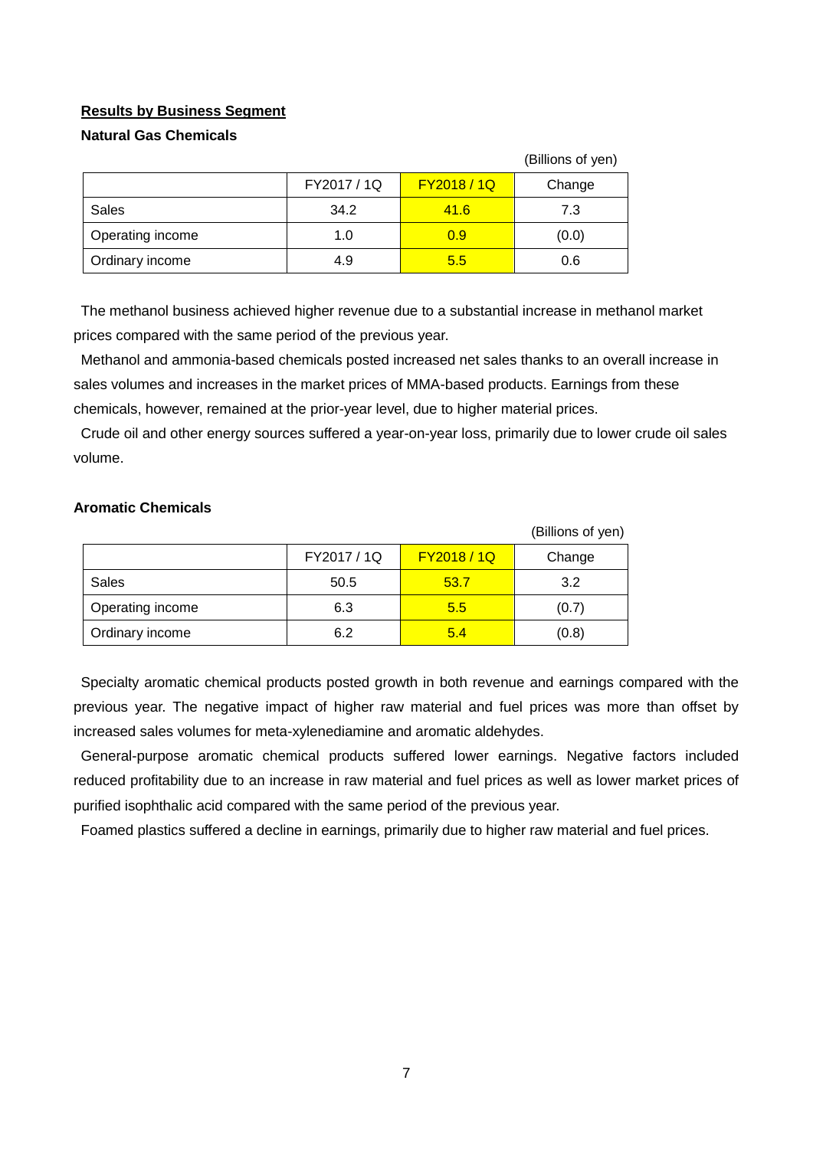# **Results by Business Segment**

## **Natural Gas Chemicals**

|                  |             |                  | (Billions of yen) |
|------------------|-------------|------------------|-------------------|
|                  | FY2017 / 1Q | <b>FY2018/1Q</b> | Change            |
| Sales            | 34.2        | 41.6             | 7.3               |
| Operating income | 1.0         | 0.9              | (0.0)             |
| Ordinary income  | 4.9         | 5.5              | 0.6               |

The methanol business achieved higher revenue due to a substantial increase in methanol market prices compared with the same period of the previous year.

Methanol and ammonia-based chemicals posted increased net sales thanks to an overall increase in sales volumes and increases in the market prices of MMA-based products. Earnings from these chemicals, however, remained at the prior-year level, due to higher material prices.

Crude oil and other energy sources suffered a year-on-year loss, primarily due to lower crude oil sales volume.

### **Aromatic Chemicals**

|                  |             |             | (Billions of yen) |
|------------------|-------------|-------------|-------------------|
|                  | FY2017 / 1Q | FY2018 / 1Q | Change            |
| Sales            | 50.5        | 53.7        | 3.2               |
| Operating income | 6.3         | 5.5         | (0.7)             |
| Ordinary income  | 6.2         | 5.4         | (0.8)             |

Specialty aromatic chemical products posted growth in both revenue and earnings compared with the previous year. The negative impact of higher raw material and fuel prices was more than offset by increased sales volumes for meta-xylenediamine and aromatic aldehydes.

General-purpose aromatic chemical products suffered lower earnings. Negative factors included reduced profitability due to an increase in raw material and fuel prices as well as lower market prices of purified isophthalic acid compared with the same period of the previous year.

Foamed plastics suffered a decline in earnings, primarily due to higher raw material and fuel prices.